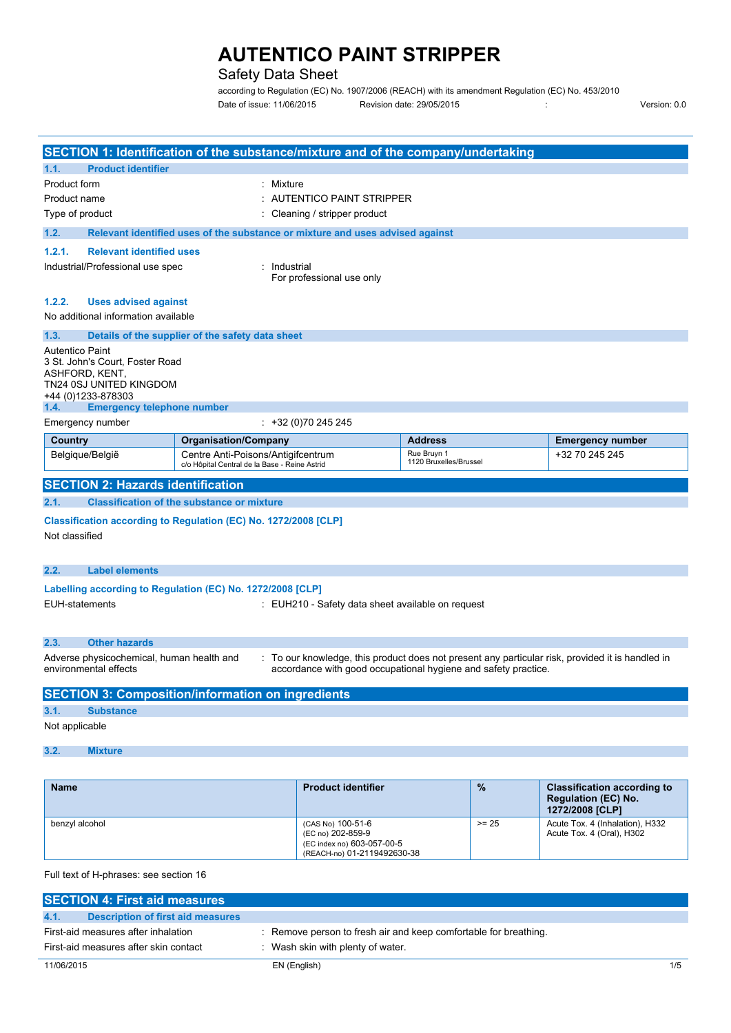## Safety Data Sheet

**SECTION 1: Identification of the substance/mixture and of the company/undertaking**

according to Regulation (EC) No. 1907/2006 (REACH) with its amendment Regulation (EC) No. 453/2010 Date of issue: 11/06/2015 Revision date: 29/05/2015 : Version: 0.0

| Product form                                                                                                                 | : Mixture                                                                     |                                                                                                     |                                                                |                                                                                                  |  |
|------------------------------------------------------------------------------------------------------------------------------|-------------------------------------------------------------------------------|-----------------------------------------------------------------------------------------------------|----------------------------------------------------------------|--------------------------------------------------------------------------------------------------|--|
| Product name<br>Type of product                                                                                              |                                                                               | : AUTENTICO PAINT STRIPPER<br>: Cleaning / stripper product                                         |                                                                |                                                                                                  |  |
|                                                                                                                              |                                                                               |                                                                                                     |                                                                |                                                                                                  |  |
| 1.2.                                                                                                                         | Relevant identified uses of the substance or mixture and uses advised against |                                                                                                     |                                                                |                                                                                                  |  |
| 1.2.1.<br><b>Relevant identified uses</b><br>Industrial/Professional use spec                                                | : Industrial                                                                  |                                                                                                     |                                                                |                                                                                                  |  |
|                                                                                                                              |                                                                               | For professional use only                                                                           |                                                                |                                                                                                  |  |
| 1.2.2.<br><b>Uses advised against</b><br>No additional information available                                                 |                                                                               |                                                                                                     |                                                                |                                                                                                  |  |
| 1.3.                                                                                                                         | Details of the supplier of the safety data sheet                              |                                                                                                     |                                                                |                                                                                                  |  |
| <b>Autentico Paint</b><br>3 St. John's Court, Foster Road<br>ASHFORD, KENT,<br>TN24 0SJ UNITED KINGDOM<br>+44 (0)1233-878303 |                                                                               |                                                                                                     |                                                                |                                                                                                  |  |
| <b>Emergency telephone number</b><br>1.4.                                                                                    |                                                                               |                                                                                                     |                                                                |                                                                                                  |  |
| Emergency number                                                                                                             |                                                                               | $\div$ +32 (0)70 245 245                                                                            |                                                                |                                                                                                  |  |
| Country                                                                                                                      | <b>Organisation/Company</b><br>Centre Anti-Poisons/Antigifcentrum             |                                                                                                     | <b>Address</b><br>Rue Bruyn 1                                  | <b>Emergency number</b>                                                                          |  |
| Belgique/België                                                                                                              | c/o Hôpital Central de la Base - Reine Astrid                                 |                                                                                                     | 1120 Bruxelles/Brussel                                         | +32 70 245 245                                                                                   |  |
| <b>SECTION 2: Hazards identification</b>                                                                                     |                                                                               |                                                                                                     |                                                                |                                                                                                  |  |
| 2.1.                                                                                                                         | <b>Classification of the substance or mixture</b>                             |                                                                                                     |                                                                |                                                                                                  |  |
| Classification according to Regulation (EC) No. 1272/2008 [CLP]<br>Not classified                                            |                                                                               |                                                                                                     |                                                                |                                                                                                  |  |
| 2.2.<br><b>Label elements</b>                                                                                                |                                                                               |                                                                                                     |                                                                |                                                                                                  |  |
| Labelling according to Regulation (EC) No. 1272/2008 [CLP]                                                                   |                                                                               |                                                                                                     |                                                                |                                                                                                  |  |
| EUH-statements                                                                                                               |                                                                               | : EUH210 - Safety data sheet available on request                                                   |                                                                |                                                                                                  |  |
| 2.3.<br><b>Other hazards</b>                                                                                                 |                                                                               |                                                                                                     |                                                                |                                                                                                  |  |
| Adverse physicochemical, human health and<br>environmental effects                                                           |                                                                               |                                                                                                     | accordance with good occupational hygiene and safety practice. | : To our knowledge, this product does not present any particular risk, provided it is handled in |  |
| <b>SECTION 3: Composition/information on ingredients</b>                                                                     |                                                                               |                                                                                                     |                                                                |                                                                                                  |  |
| 3.1.<br><b>Substance</b>                                                                                                     |                                                                               |                                                                                                     |                                                                |                                                                                                  |  |
| Not applicable                                                                                                               |                                                                               |                                                                                                     |                                                                |                                                                                                  |  |
| 3.2.<br><b>Mixture</b>                                                                                                       |                                                                               |                                                                                                     |                                                                |                                                                                                  |  |
|                                                                                                                              |                                                                               |                                                                                                     |                                                                |                                                                                                  |  |
| <b>Name</b>                                                                                                                  |                                                                               | <b>Product identifier</b>                                                                           | $\frac{9}{6}$                                                  | <b>Classification according to</b><br><b>Regulation (EC) No.</b><br>1272/2008 [CLP]              |  |
| benzyl alcohol                                                                                                               |                                                                               | (CAS No) 100-51-6<br>(EC no) 202-859-9<br>(EC index no) 603-057-00-5<br>(REACH-no) 01-2119492630-38 | $>= 25$                                                        | Acute Tox. 4 (Inhalation), H332<br>Acute Tox. 4 (Oral), H302                                     |  |

Full text of H-phrases: see section 16

**1.1. Product identifier**

| <b>SECTION 4: First aid measures</b>      |                                                                  |     |
|-------------------------------------------|------------------------------------------------------------------|-----|
| 4.1.<br>Description of first aid measures |                                                                  |     |
| First-aid measures after inhalation       | : Remove person to fresh air and keep comfortable for breathing. |     |
| First-aid measures after skin contact     | Wash skin with plenty of water.                                  |     |
| 11/06/2015                                | EN (English)                                                     | 1/5 |

÷,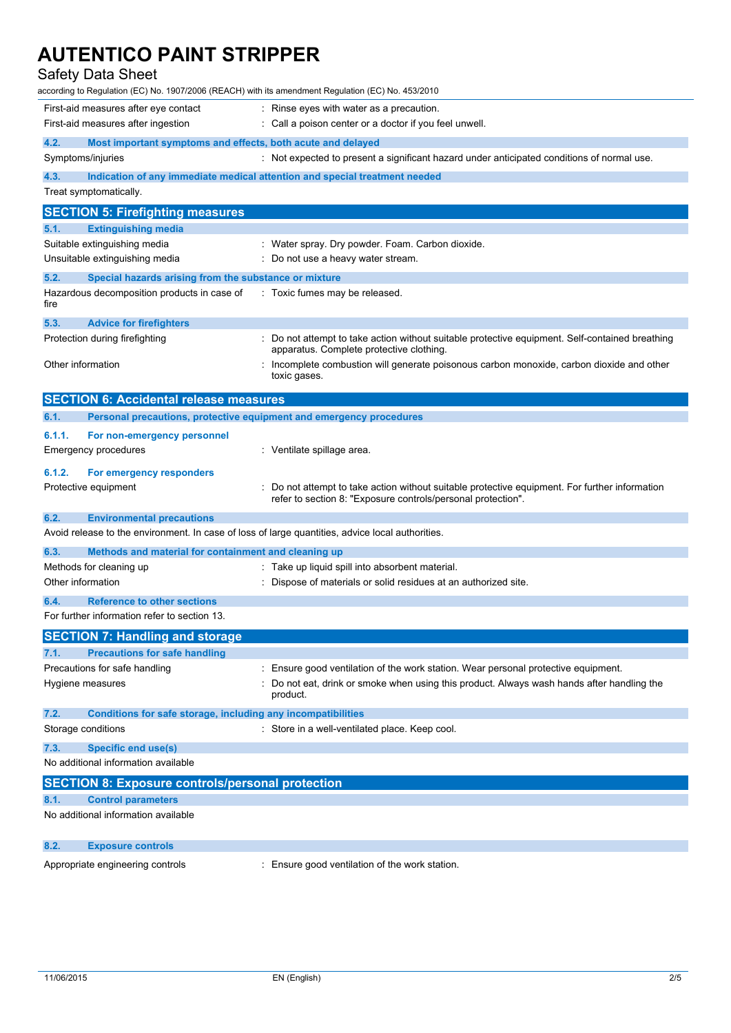## Safety Data Sheet

| according to Regulation (EC) No. 1907/2006 (REACH) with its amendment Regulation (EC) No. 453/2010           |                                                                                                                                                                                          |
|--------------------------------------------------------------------------------------------------------------|------------------------------------------------------------------------------------------------------------------------------------------------------------------------------------------|
| First-aid measures after eye contact                                                                         | : Rinse eyes with water as a precaution.                                                                                                                                                 |
| First-aid measures after ingestion                                                                           | : Call a poison center or a doctor if you feel unwell.                                                                                                                                   |
| 4.2.<br>Most important symptoms and effects, both acute and delayed                                          |                                                                                                                                                                                          |
| Symptoms/injuries                                                                                            | : Not expected to present a significant hazard under anticipated conditions of normal use.                                                                                               |
| 4.3.                                                                                                         | Indication of any immediate medical attention and special treatment needed                                                                                                               |
| Treat symptomatically.                                                                                       |                                                                                                                                                                                          |
| <b>SECTION 5: Firefighting measures</b>                                                                      |                                                                                                                                                                                          |
| 5.1.<br><b>Extinguishing media</b>                                                                           |                                                                                                                                                                                          |
| Suitable extinguishing media<br>Unsuitable extinguishing media                                               | : Water spray. Dry powder. Foam. Carbon dioxide.<br>Do not use a heavy water stream.                                                                                                     |
| 5.2.                                                                                                         |                                                                                                                                                                                          |
| Special hazards arising from the substance or mixture<br>Hazardous decomposition products in case of<br>fire | : Toxic fumes may be released.                                                                                                                                                           |
| 5.3.<br><b>Advice for firefighters</b>                                                                       |                                                                                                                                                                                          |
| Protection during firefighting                                                                               | Do not attempt to take action without suitable protective equipment. Self-contained breathing<br>apparatus. Complete protective clothing.                                                |
| Other information                                                                                            | Incomplete combustion will generate poisonous carbon monoxide, carbon dioxide and other<br>toxic gases.                                                                                  |
| <b>SECTION 6: Accidental release measures</b>                                                                |                                                                                                                                                                                          |
| 6.1.<br>Personal precautions, protective equipment and emergency procedures                                  |                                                                                                                                                                                          |
| 6.1.1.<br>For non-emergency personnel                                                                        |                                                                                                                                                                                          |
| Emergency procedures                                                                                         | : Ventilate spillage area.                                                                                                                                                               |
| 6.1.2.<br>For emergency responders                                                                           |                                                                                                                                                                                          |
| Protective equipment                                                                                         | Do not attempt to take action without suitable protective equipment. For further information<br>refer to section 8: "Exposure controls/personal protection".                             |
| 6.2.<br><b>Environmental precautions</b>                                                                     |                                                                                                                                                                                          |
| Avoid release to the environment. In case of loss of large quantities, advice local authorities.             |                                                                                                                                                                                          |
| 6.3.<br>Methods and material for containment and cleaning up                                                 |                                                                                                                                                                                          |
| Methods for cleaning up                                                                                      | : Take up liquid spill into absorbent material.                                                                                                                                          |
| Other information                                                                                            | Dispose of materials or solid residues at an authorized site.                                                                                                                            |
| <b>Reference to other sections</b><br>6.4.                                                                   |                                                                                                                                                                                          |
| For further information refer to section 13.                                                                 |                                                                                                                                                                                          |
| <b>SECTION 7: Handling and storage</b>                                                                       |                                                                                                                                                                                          |
| <b>Precautions for safe handling</b><br>7.1.<br>Precautions for safe handling                                |                                                                                                                                                                                          |
| Hygiene measures                                                                                             | Ensure good ventilation of the work station. Wear personal protective equipment.<br>Do not eat, drink or smoke when using this product. Always wash hands after handling the<br>product. |
| 7.2.<br>Conditions for safe storage, including any incompatibilities                                         |                                                                                                                                                                                          |
| Storage conditions                                                                                           | : Store in a well-ventilated place. Keep cool.                                                                                                                                           |
| 7.3.<br><b>Specific end use(s)</b>                                                                           |                                                                                                                                                                                          |
| No additional information available                                                                          |                                                                                                                                                                                          |
| <b>SECTION 8: Exposure controls/personal protection</b>                                                      |                                                                                                                                                                                          |
| 8.1.<br><b>Control parameters</b><br>No additional information available                                     |                                                                                                                                                                                          |
| 8.2.<br><b>Exposure controls</b>                                                                             |                                                                                                                                                                                          |
| Appropriate engineering controls                                                                             | : Ensure good ventilation of the work station.                                                                                                                                           |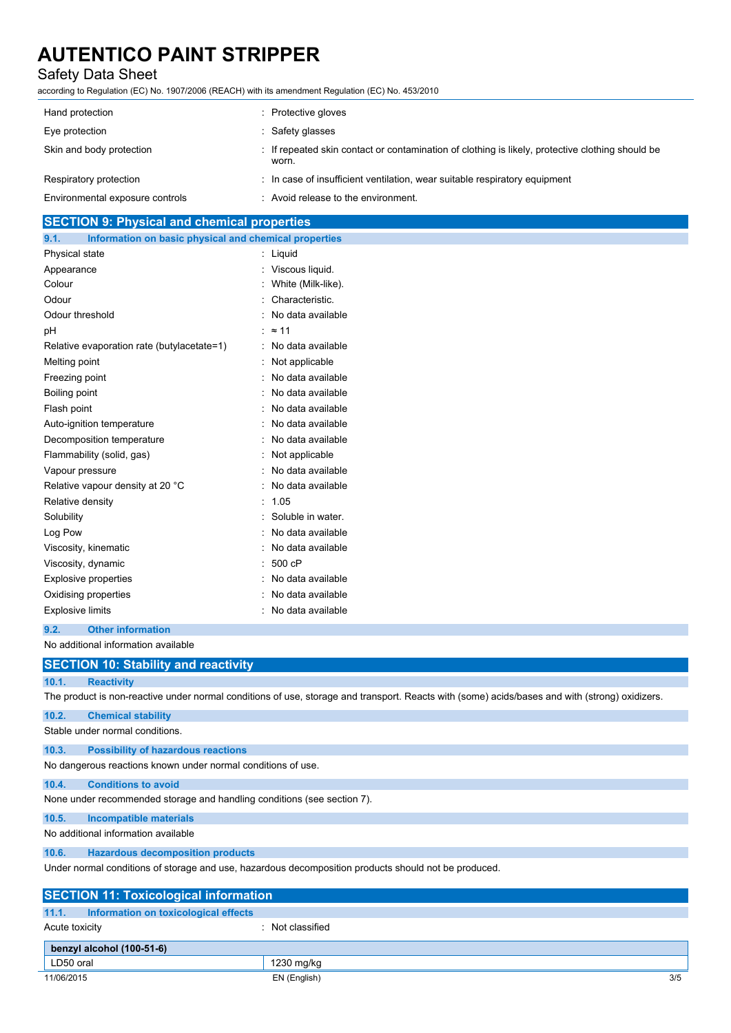## Safety Data Sheet

according to Regulation (EC) No. 1907/2006 (REACH) with its amendment Regulation (EC) No. 453/2010

| Hand protection                 | Protective gloves                                                                                         |
|---------------------------------|-----------------------------------------------------------------------------------------------------------|
| Eye protection                  | Safety glasses                                                                                            |
| Skin and body protection        | : If repeated skin contact or contamination of clothing is likely, protective clothing should be<br>worn. |
| Respiratory protection          | : In case of insufficient ventilation, wear suitable respiratory equipment                                |
| Environmental exposure controls | : Avoid release to the environment.                                                                       |

## **SECTION 9: Physical and chemical properties**

| 9.1.                    | Information on basic physical and chemical properties |                     |
|-------------------------|-------------------------------------------------------|---------------------|
| Physical state          |                                                       | : Liquid            |
| Appearance              |                                                       | : Viscous liquid.   |
| Colour                  |                                                       | White (Milk-like).  |
| Odour                   |                                                       | Characteristic.     |
| Odour threshold         |                                                       | No data available   |
| рH                      |                                                       | : $\approx$ 11      |
|                         | Relative evaporation rate (butylacetate=1)            | : No data available |
| Melting point           |                                                       | : Not applicable    |
| Freezing point          |                                                       | : No data available |
| Boiling point           |                                                       | : No data available |
| Flash point             |                                                       | No data available   |
|                         | Auto-ignition temperature                             | : No data available |
|                         | Decomposition temperature                             | : No data available |
|                         | Flammability (solid, gas)                             | : Not applicable    |
| Vapour pressure         |                                                       | : No data available |
|                         | Relative vapour density at 20 °C                      | : No data available |
| Relative density        |                                                       | : 1.05              |
| Solubility              |                                                       | : Soluble in water. |
| Log Pow                 |                                                       | : No data available |
|                         | Viscosity, kinematic                                  | : No data available |
|                         | Viscosity, dynamic                                    | 500 cP              |
|                         | <b>Explosive properties</b>                           | No data available   |
|                         | Oxidising properties                                  | No data available   |
| <b>Explosive limits</b> |                                                       | No data available   |
|                         |                                                       |                     |

### **9.2. Other information**

No additional information available

|                                                                                                      | <b>SECTION 10: Stability and reactivity</b>                                                                                                    |  |  |
|------------------------------------------------------------------------------------------------------|------------------------------------------------------------------------------------------------------------------------------------------------|--|--|
| 10.1.                                                                                                | <b>Reactivity</b>                                                                                                                              |  |  |
|                                                                                                      | The product is non-reactive under normal conditions of use, storage and transport. Reacts with (some) acids/bases and with (strong) oxidizers. |  |  |
| 10.2.                                                                                                | <b>Chemical stability</b>                                                                                                                      |  |  |
|                                                                                                      | Stable under normal conditions.                                                                                                                |  |  |
| 10.3.                                                                                                | <b>Possibility of hazardous reactions</b>                                                                                                      |  |  |
|                                                                                                      | No dangerous reactions known under normal conditions of use.                                                                                   |  |  |
| 10.4.                                                                                                | <b>Conditions to avoid</b>                                                                                                                     |  |  |
|                                                                                                      | None under recommended storage and handling conditions (see section 7).                                                                        |  |  |
| 10.5.                                                                                                | Incompatible materials                                                                                                                         |  |  |
|                                                                                                      | No additional information available                                                                                                            |  |  |
| 10.6.                                                                                                | <b>Hazardous decomposition products</b>                                                                                                        |  |  |
| Under normal conditions of storage and use, hazardous decomposition products should not be produced. |                                                                                                                                                |  |  |
| <b>SECTION 11: Toxicological information</b>                                                         |                                                                                                                                                |  |  |
| 11.1.                                                                                                | Information on toxicological effects                                                                                                           |  |  |
| Acute toxicity                                                                                       | : Not classified                                                                                                                               |  |  |

| benzyl alcohol (100-51-6) |                     |
|---------------------------|---------------------|
| LD50 oral                 | 1230 mg/kg          |
| 11/06/2015                | 3/5<br>EN (English) |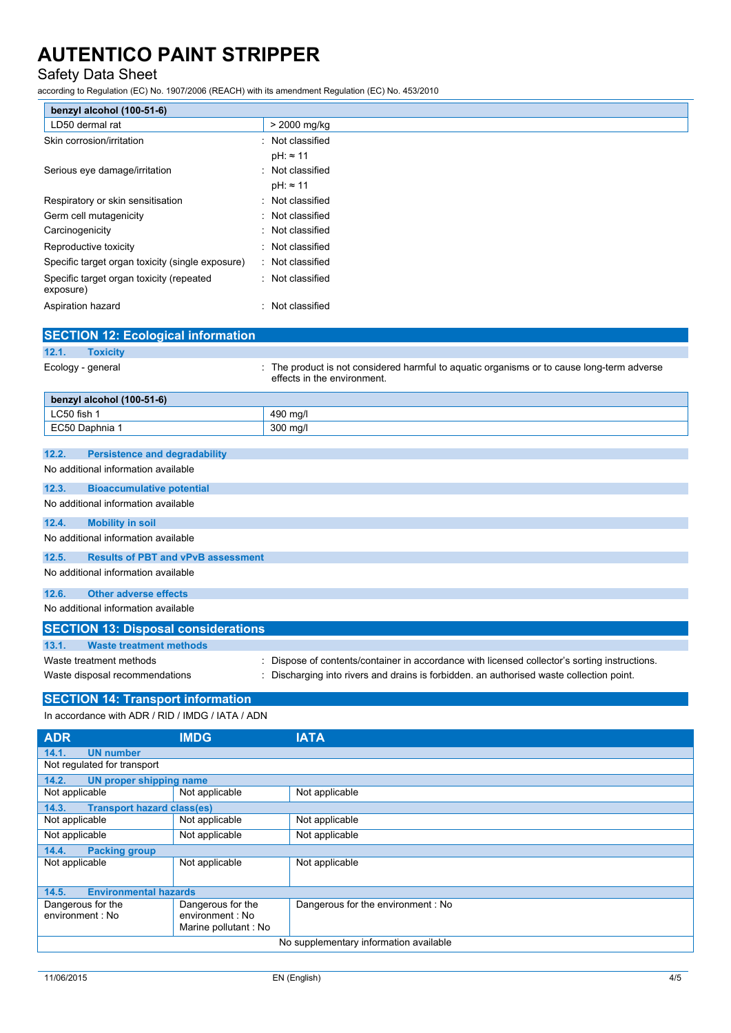## Safety Data Sheet

according to Regulation (EC) No. 1907/2006 (REACH) with its amendment Regulation (EC) No. 453/2010

| benzyl alcohol (100-51-6)                             |                                                                                                                         |
|-------------------------------------------------------|-------------------------------------------------------------------------------------------------------------------------|
| LD50 dermal rat                                       | > 2000 mg/kg                                                                                                            |
| Skin corrosion/irritation                             | : Not classified                                                                                                        |
|                                                       | $pH: \approx 11$                                                                                                        |
| Serious eye damage/irritation                         | Not classified                                                                                                          |
|                                                       | $pH: \approx 11$                                                                                                        |
| Respiratory or skin sensitisation                     | : Not classified                                                                                                        |
| Germ cell mutagenicity                                | : Not classified                                                                                                        |
| Carcinogenicity                                       | Not classified                                                                                                          |
| Reproductive toxicity                                 | Not classified                                                                                                          |
| Specific target organ toxicity (single exposure)      | : Not classified                                                                                                        |
| Specific target organ toxicity (repeated<br>exposure) | : Not classified                                                                                                        |
| Aspiration hazard                                     | Not classified                                                                                                          |
| <b>SECTION 12: Ecological information</b>             |                                                                                                                         |
| 12.1.<br><b>Toxicity</b>                              |                                                                                                                         |
| Ecology - general                                     | The product is not considered harmful to aquatic organisms or to cause long-term adverse<br>effects in the environment. |
| benzyl alcohol (100-51-6)                             |                                                                                                                         |
| LC50 fish 1                                           | 490 mg/l                                                                                                                |
| EC50 Daphnia 1                                        | 300 mg/l                                                                                                                |
|                                                       |                                                                                                                         |
| 12.2.<br><b>Persistence and degradability</b>         |                                                                                                                         |

## No additional information available

| 12.3.                               | <b>Bioaccumulative potential</b>          |  |
|-------------------------------------|-------------------------------------------|--|
|                                     | No additional information available       |  |
| 12.4.                               | <b>Mobility in soil</b>                   |  |
|                                     | No additional information available       |  |
| 12.5.                               | <b>Results of PBT and vPvB assessment</b> |  |
| No additional information available |                                           |  |
| 12.6.                               | <b>Other adverse effects</b>              |  |
| No additional information available |                                           |  |

|       | <b>SECTION 13: Disposal considerations</b> |                                                                                             |
|-------|--------------------------------------------|---------------------------------------------------------------------------------------------|
|       |                                            |                                                                                             |
| 13.1. | Waste treatment methods                    |                                                                                             |
|       | Waste treatment methods                    | Dispose of contents/container in accordance with licensed collector's sorting instructions. |
|       | Waste disposal recommendations             | : Discharging into rivers and drains is forbidden. an authorised waste collection point.    |
|       |                                            |                                                                                             |

## **SECTION 14: Transport information**

In accordance with ADR / RID / IMDG / IATA / ADN

| <b>ADR</b>                                 | <b>IMDG</b>          | <b>IATA</b>                       |  |
|--------------------------------------------|----------------------|-----------------------------------|--|
| 14.1.<br><b>UN number</b>                  |                      |                                   |  |
| Not regulated for transport                |                      |                                   |  |
| 14.2.<br>UN proper shipping name           |                      |                                   |  |
| Not applicable                             | Not applicable       | Not applicable                    |  |
| <b>Transport hazard class(es)</b><br>14.3. |                      |                                   |  |
| Not applicable                             | Not applicable       | Not applicable                    |  |
| Not applicable                             | Not applicable       | Not applicable                    |  |
| 14.4.<br><b>Packing group</b>              |                      |                                   |  |
| Not applicable                             | Not applicable       | Not applicable                    |  |
|                                            |                      |                                   |  |
| <b>Environmental hazards</b><br>14.5.      |                      |                                   |  |
| Dangerous for the                          | Dangerous for the    | Dangerous for the environment: No |  |
| environment : No                           | environment : No     |                                   |  |
|                                            | Marine pollutant: No |                                   |  |
| No supplementary information available     |                      |                                   |  |